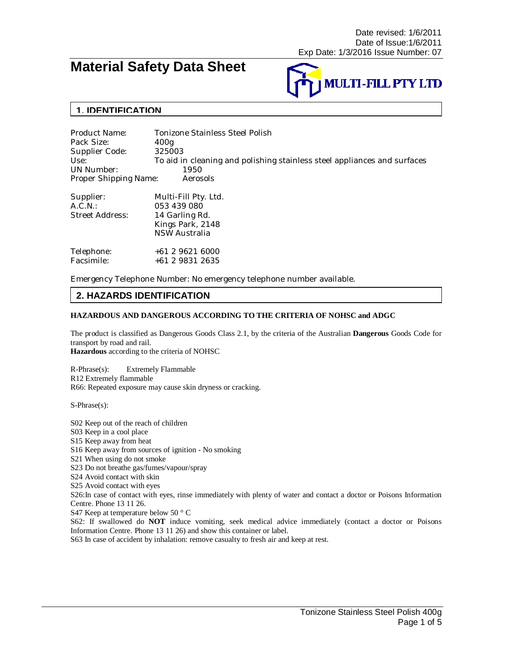# **Material Safety Data Sheet**



# **1. IDENTIFICATION**

Product Name: Tonizone Stainless Steel Polish Pack Size: 400g Supplier Code: 325003 Use: To aid in cleaning and polishing stainless steel appliances and surfaces UN Number: 1950<br>Proper Shipping Name: Aerosols Proper Shipping Name:

| Supplier:<br>A.C.N.:<br>Street Address: | Multi-Fill Pty. Ltd.<br>053 439 080<br>14 Garling Rd.<br>Kings Park, 2148<br><b>NSW Australia</b> |
|-----------------------------------------|---------------------------------------------------------------------------------------------------|
| Telephone:                              | $+61296216000$                                                                                    |
| Facsimile:                              | +61 2 9831 2635                                                                                   |

Emergency Telephone Number: No emergency telephone number available.

### **2. HAZARDS IDENTIFICATION**

#### **HAZARDOUS AND DANGEROUS ACCORDING TO THE CRITERIA OF NOHSC and ADGC**

The product is classified as Dangerous Goods Class 2.1, by the criteria of the Australian **Dangerous** Goods Code for transport by road and rail. **Hazardous** according to the criteria of NOHSC

R-Phrase(s): Extremely Flammable R12 Extremely flammable R66: Repeated exposure may cause skin dryness or cracking.

S-Phrase(s):

S02 Keep out of the reach of children S03 Keep in a cool place S15 Keep away from heat S16 Keep away from sources of ignition - No smoking S21 When using do not smoke S23 Do not breathe gas/fumes/vapour/spray S24 Avoid contact with skin S25 Avoid contact with eyes S26:In case of contact with eyes, rinse immediately with plenty of water and contact a doctor or Poisons Information Centre. Phone 13 11 26. S47 Keep at temperature below 50 ° C S62: If swallowed do **NOT** induce vomiting, seek medical advice immediately (contact a doctor or Poisons Information Centre. Phone 13 11 26) and show this container or label. S63 In case of accident by inhalation: remove casualty to fresh air and keep at rest.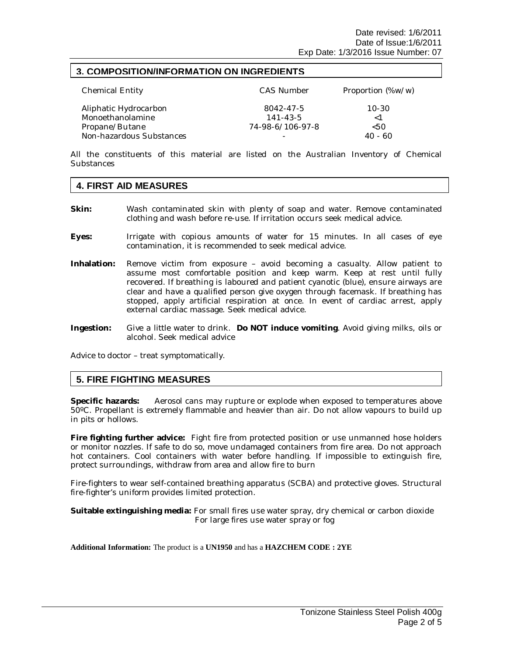#### **3. COMPOSITION/INFORMATION ON INGREDIENTS**

| <b>Chemical Entity</b>                    | CAS Number                  | Proportion (%w/w)     |
|-------------------------------------------|-----------------------------|-----------------------|
| Aliphatic Hydrocarbon<br>Monoethanolamine | 8042-47-5<br>$141 - 43 - 5$ | $10 - 30$<br>$\leq 1$ |
| Propane/Butane                            | 74-98-6/106-97-8            | 550                   |
| Non-hazardous Substances                  |                             | 40 - 60               |

All the constituents of this material are listed on the Australian Inventory of Chemical **Substances** 

#### **4. FIRST AID MEASURES**

- **Skin:** Wash contaminated skin with plenty of soap and water. Remove contaminated clothing and wash before re-use. If irritation occurs seek medical advice.
- **Eyes:** Irrigate with copious amounts of water for 15 minutes. In all cases of eye contamination, it is recommended to seek medical advice.
- **Inhalation:** Remove victim from exposure avoid becoming a casualty. Allow patient to assume most comfortable position and keep warm. Keep at rest until fully recovered. If breathing is laboured and patient cyanotic (blue), ensure airways are clear and have a qualified person give oxygen through facemask. If breathing has stopped, apply artificial respiration at once. In event of cardiac arrest, apply external cardiac massage. Seek medical advice.
- **Ingestion:** Give a little water to drink. **Do NOT induce vomiting**. Avoid giving milks, oils or alcohol. Seek medical advice

Advice to doctor – treat symptomatically.

#### **5. FIRE FIGHTING MEASURES**

**Specific hazards:** Aerosol cans may rupture or explode when exposed to temperatures above 50ºC. Propellant is extremely flammable and heavier than air. Do not allow vapours to build up in pits or hollows.

**Fire fighting further advice:** Fight fire from protected position or use unmanned hose holders or monitor nozzles. If safe to do so, move undamaged containers from fire area. Do not approach hot containers. Cool containers with water before handling. If impossible to extinguish fire, protect surroundings, withdraw from area and allow fire to burn

Fire-fighters to wear self-contained breathing apparatus (SCBA) and protective gloves. Structural fire-fighter's uniform provides limited protection.

**Suitable extinguishing media:** For small fires use water spray, dry chemical or carbon dioxide For large fires use water spray or fog

#### **Additional Information:** The product is a **UN1950** and has a **HAZCHEM CODE : 2YE**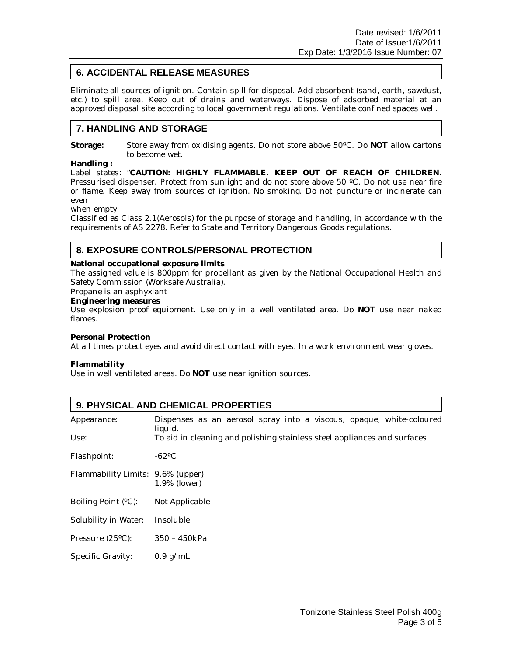# **6. ACCIDENTAL RELEASE MEASURES**

Eliminate all sources of ignition. Contain spill for disposal. Add absorbent (sand, earth, sawdust, etc.) to spill area. Keep out of drains and waterways. Dispose of adsorbed material at an approved disposal site according to local government regulations. Ventilate confined spaces well.

### **7. HANDLING AND STORAGE**

**Storage:** Store away from oxidising agents. Do not store above 50ºC. Do **NOT** allow cartons to become wet.

**Handling :**

Label states: "**CAUTION: HIGHLY FLAMMABLE. KEEP OUT OF REACH OF CHILDREN.** Pressurised dispenser. Protect from sunlight and do not store above 50 ºC. Do not use near fire or flame. Keep away from sources of ignition. No smoking. Do not puncture or incinerate can even

when empty

Classified as Class 2.1(Aerosols) for the purpose of storage and handling, in accordance with the requirements of AS 2278. Refer to State and Territory Dangerous Goods regulations.

### **8. EXPOSURE CONTROLS/PERSONAL PROTECTION**

**National occupational exposure limits**

The assigned value is 800ppm for propellant as given by the National Occupational Health and Safety Commission (Worksafe Australia).

Propane is an asphyxiant

**Engineering measures**

Use explosion proof equipment. Use only in a well ventilated area. Do **NOT** use near naked flames.

**Personal Protection**

At all times protect eyes and avoid direct contact with eyes. In a work environment wear gloves.

**Flammability**

Use in well ventilated areas. Do **NOT** use near ignition sources.

| 9. PHYSICAL AND CHEMICAL PROPERTIES |                                                                                 |  |  |  |
|-------------------------------------|---------------------------------------------------------------------------------|--|--|--|
| Appearance:                         | Dispenses as an aerosol spray into a viscous, opaque, white-coloured<br>liquid. |  |  |  |
| Use:                                | To aid in cleaning and polishing stainless steel appliances and surfaces        |  |  |  |
| Flashpoint:                         | $-62^{\circ}$ C                                                                 |  |  |  |
| Flammability Limits: 9.6% (upper)   | 1.9% (lower)                                                                    |  |  |  |
| Boiling Point (°C):                 | Not Applicable                                                                  |  |  |  |
| Solubility in Water:                | Insoluble                                                                       |  |  |  |
| Pressure $(25^{\circ}C)$ :          | 350 - 450kPa                                                                    |  |  |  |
| Specific Gravity:                   | $0.9$ g/mL                                                                      |  |  |  |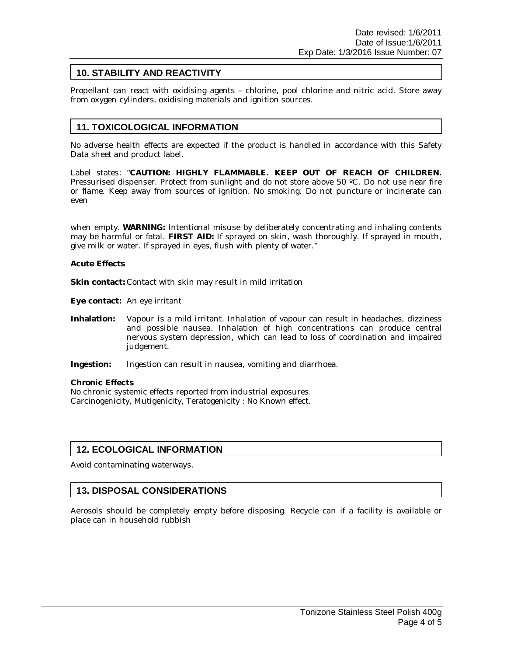### **10. STABILITY AND REACTIVITY**

Propellant can react with oxidising agents – chlorine, pool chlorine and nitric acid. Store away from oxygen cylinders, oxidising materials and ignition sources.

### **11. TOXICOLOGICAL INFORMATION**

No adverse health effects are expected if the product is handled in accordance with this Safety Data sheet and product label.

Label states: "**CAUTION: HIGHLY FLAMMABLE. KEEP OUT OF REACH OF CHILDREN.** Pressurised dispenser. Protect from sunlight and do not store above 50 ºC. Do not use near fire or flame. Keep away from sources of ignition. No smoking. Do not puncture or incinerate can even

when empty. **WARNING:** Intentional misuse by deliberately concentrating and inhaling contents may be harmful or fatal. **FIRST AID:** If sprayed on skin, wash thoroughly. If sprayed in mouth, give milk or water. If sprayed in eyes, flush with plenty of water."

**Acute Effects**

**Skin contact:** Contact with skin may result in mild irritation

**Eye contact:** An eye irritant

- **Inhalation:** Vapour is a mild irritant. Inhalation of vapour can result in headaches, dizziness and possible nausea. Inhalation of high concentrations can produce central nervous system depression, which can lead to loss of coordination and impaired judgement.
- **Ingestion:** Ingestion can result in nausea, vomiting and diarrhoea.

**Chronic Effects** No chronic systemic effects reported from industrial exposures. Carcinogenicity, Mutigenicity, Teratogenicity : No Known effect.

#### **12. ECOLOGICAL INFORMATION**

Avoid contaminating waterways.

#### **13. DISPOSAL CONSIDERATIONS**

Aerosols should be completely empty before disposing. Recycle can if a facility is available or place can in household rubbish